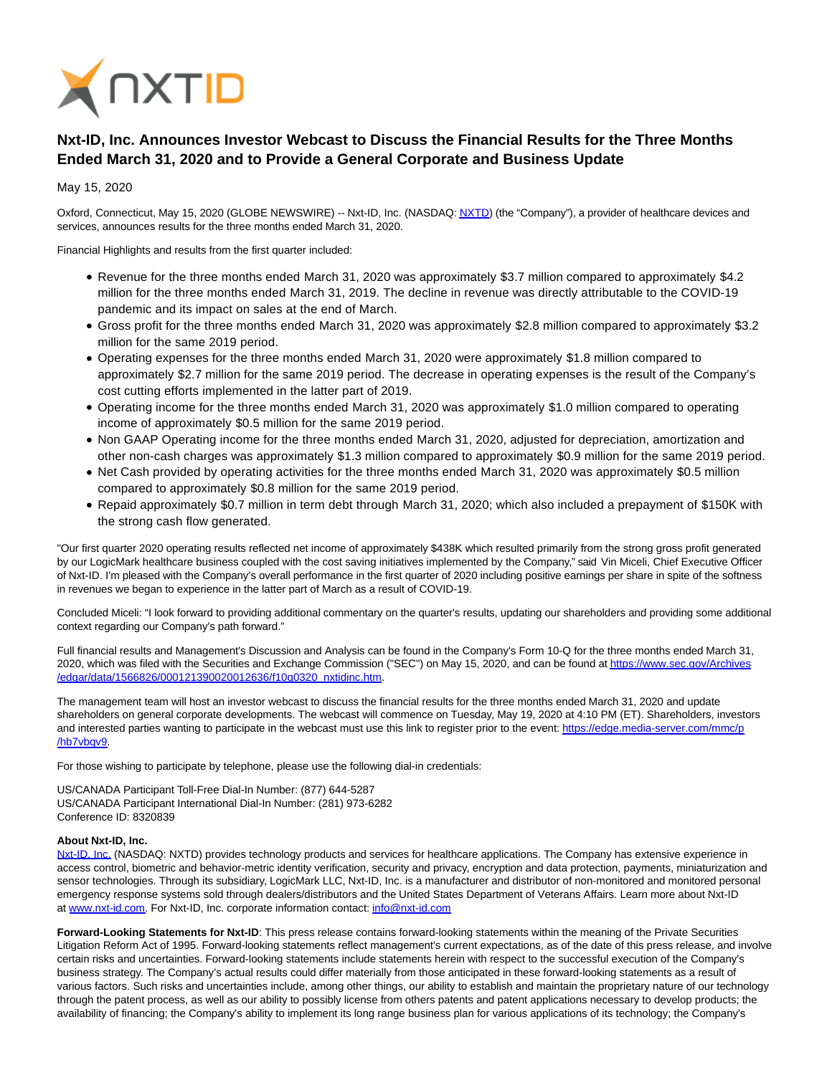

## **Nxt-ID, Inc. Announces Investor Webcast to Discuss the Financial Results for the Three Months Ended March 31, 2020 and to Provide a General Corporate and Business Update**

May 15, 2020

Oxford, Connecticut, May 15, 2020 (GLOBE NEWSWIRE) -- Nxt-ID, Inc. (NASDAQ[: NXTD\)](https://www.globenewswire.com/Tracker?data=EK_oUfVGMF-OcKJKVL2AcD-Po6YR2AyJiT6PP1Co-fR--A5MkOtl6wsFdXBzpkgo0144J1PPiNtOZ5V82zKnNQ==) (the "Company"), a provider of healthcare devices and services, announces results for the three months ended March 31, 2020.

Financial Highlights and results from the first quarter included:

- Revenue for the three months ended March 31, 2020 was approximately \$3.7 million compared to approximately \$4.2 million for the three months ended March 31, 2019. The decline in revenue was directly attributable to the COVID-19 pandemic and its impact on sales at the end of March.
- Gross profit for the three months ended March 31, 2020 was approximately \$2.8 million compared to approximately \$3.2 million for the same 2019 period.
- Operating expenses for the three months ended March 31, 2020 were approximately \$1.8 million compared to approximately \$2.7 million for the same 2019 period. The decrease in operating expenses is the result of the Company's cost cutting efforts implemented in the latter part of 2019.
- Operating income for the three months ended March 31, 2020 was approximately \$1.0 million compared to operating income of approximately \$0.5 million for the same 2019 period.
- Non GAAP Operating income for the three months ended March 31, 2020, adjusted for depreciation, amortization and other non-cash charges was approximately \$1.3 million compared to approximately \$0.9 million for the same 2019 period.
- Net Cash provided by operating activities for the three months ended March 31, 2020 was approximately \$0.5 million compared to approximately \$0.8 million for the same 2019 period.
- Repaid approximately \$0.7 million in term debt through March 31, 2020; which also included a prepayment of \$150K with the strong cash flow generated.

"Our first quarter 2020 operating results reflected net income of approximately \$438K which resulted primarily from the strong gross profit generated by our LogicMark healthcare business coupled with the cost saving initiatives implemented by the Company," said Vin Miceli, Chief Executive Officer of Nxt-ID. I'm pleased with the Company's overall performance in the first quarter of 2020 including positive earnings per share in spite of the softness in revenues we began to experience in the latter part of March as a result of COVID-19.

Concluded Miceli: "I look forward to providing additional commentary on the quarter's results, updating our shareholders and providing some additional context regarding our Company's path forward."

Full financial results and Management's Discussion and Analysis can be found in the Company's Form 10-Q for the three months ended March 31, 2020, which was filed with the Securities and Exchange Commission ("SEC") on May 15, 2020, and can be found a[t https://www.sec.gov/Archives](https://www.globenewswire.com/Tracker?data=E96FJFpqivZs9jCwC1sdQhC_JCKZe3HSFHN_dcs756bcJ4gl32cRzZvNBtF_iS6lf13wNPbm3nsh8nrQi1CThGlD_9KfnXaQ9eOjwKhRBKkqZww5O37-RZYIuBxGyBOWHXK-uOG9W9BC_f1731ym-BMefAo7zM7NSanU8b03U7M5zR5_0XfEg-8VTxRHoaWfZYcqD2a22I5m2lKn3FFixrdMU53sMbIJBCoLR_lX_WGfImaC9RlJ5Eb73VttZXPFnk4a9xawZCa_dk9JH80xSQ==) /edgar/data/1566826/000121390020012636/f10q0320\_nxtidinc.htm.

The management team will host an investor webcast to discuss the financial results for the three months ended March 31, 2020 and update shareholders on general corporate developments. The webcast will commence on Tuesday, May 19, 2020 at 4:10 PM (ET). Shareholders, investors and interested parties wanting to participate in the webcast must use this link to register prior to the event[: https://edge.media-server.com/mmc/p](https://www.globenewswire.com/Tracker?data=E96FJFpqivZs9jCwC1sdQvmmLergG9pvaqK98iN4vY-nbeyMntTPrvDKuKQc365q_lTnNWyfYWSsxBb7Q13WSF1APqc6xw-74XpuMZdl1sjv2tglMZu6fZv0wLq7JvMY5fePq0ANUSAuCXOsdV8uJw==) /hb7vbqv9.

For those wishing to participate by telephone, please use the following dial-in credentials:

US/CANADA Participant Toll-Free Dial-In Number: (877) 644-5287 US/CANADA Participant International Dial-In Number: (281) 973-6282 Conference ID: 8320839

## **About Nxt-ID, Inc.**

[Nxt-ID, Inc. \(](https://www.globenewswire.com/Tracker?data=rqbVl4DH_waMbsDZKKo8wAwI_pyscKbHoIU_YEo103GMLb7U5v3vBvnmwzLql9UUi3uByN--pFq5Zbfes_XnyA==)NASDAQ: NXTD) provides technology products and services for healthcare applications. The Company has extensive experience in access control, biometric and behavior-metric identity verification, security and privacy, encryption and data protection, payments, miniaturization and sensor technologies. Through its subsidiary, LogicMark LLC, Nxt-ID, Inc. is a manufacturer and distributor of non-monitored and monitored personal emergency response systems sold through dealers/distributors and the United States Department of Veterans Affairs. Learn more about Nxt-ID at [www.nxt-id.com.](https://www.globenewswire.com/Tracker?data=PNZkkf4RmJsbEoCpYcZNoyIa-1K9t8H5F5GDHrP9mOvLNNa1rKuGQWwiqrj6BTUJRWQL-ioYWdkrNnjhorUDwA==) For Nxt-ID, Inc. corporate information contact[: info@nxt-id.com](https://www.globenewswire.com/Tracker?data=kVIjVjBr2UFWWe-HwhEUYzPu7JfkbOKEURnm7nGKzko_RNHdEbKrj1i3exHk0ZiCB6kA5TYl_uHVJmp1S3cnAA==)

**Forward-Looking Statements for Nxt-ID**: This press release contains forward-looking statements within the meaning of the Private Securities Litigation Reform Act of 1995. Forward-looking statements reflect management's current expectations, as of the date of this press release, and involve certain risks and uncertainties. Forward-looking statements include statements herein with respect to the successful execution of the Company's business strategy. The Company's actual results could differ materially from those anticipated in these forward-looking statements as a result of various factors. Such risks and uncertainties include, among other things, our ability to establish and maintain the proprietary nature of our technology through the patent process, as well as our ability to possibly license from others patents and patent applications necessary to develop products; the availability of financing; the Company's ability to implement its long range business plan for various applications of its technology; the Company's